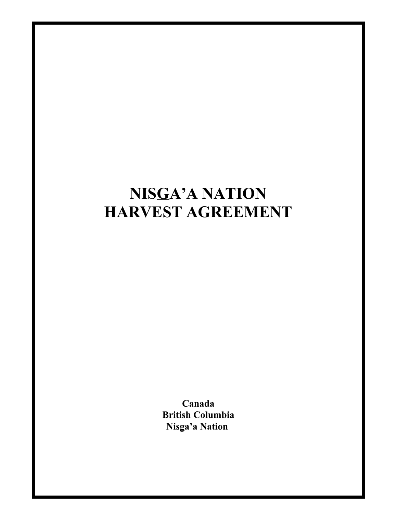# **NISGA'A NATION HARVEST AGREEMENT**

**Canada British Columbia Nisga'a Nation**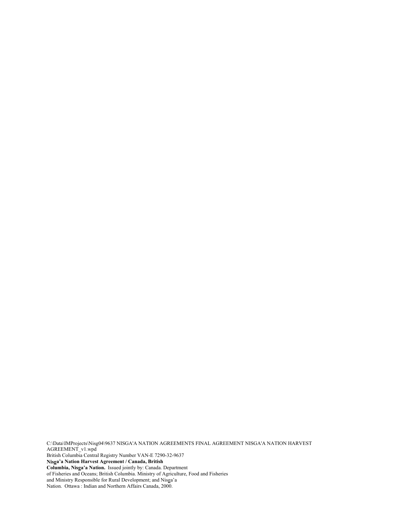C:\Data\IMProjects\Nisg04\9637 NISGA'A NATION AGREEMENTS FINAL AGREEMENT NISGA'A NATION HARVEST AGREEMENT\_v1.wpd British Columbia Central Registry Number VAN-E 7290-32-9637 **Nisga'a Nation Harvest Agreement / Canada, British Columbia, Nisga'a Nation.** Issued jointly by: Canada. Department of Fisheries and Oceans; British Columbia. Ministry of Agriculture, Food and Fisheries and Ministry Responsible for Rural Development; and Nisga'a Nation. Ottawa : Indian and Northern Affairs Canada, 2000.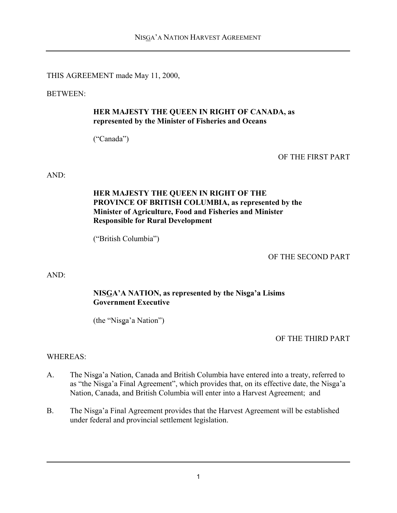THIS AGREEMENT made May 11, 2000,

BETWEEN:

#### **HER MAJESTY THE QUEEN IN RIGHT OF CANADA, as represented by the Minister of Fisheries and Oceans**

("Canada")

OF THE FIRST PART

AND:

## **HER MAJESTY THE QUEEN IN RIGHT OF THE PROVINCE OF BRITISH COLUMBIA, as represented by the Minister of Agriculture, Food and Fisheries and Minister Responsible for Rural Development**

("British Columbia")

OF THE SECOND PART

AND:

## **NISGA'A NATION, as represented by the Nisga'a Lisims Government Executive**

(the "Nisga'a Nation")

OF THE THIRD PART

WHEREAS:

- A. The Nisga'a Nation, Canada and British Columbia have entered into a treaty, referred to as "the Nisga'a Final Agreement", which provides that, on its effective date, the Nisga'a Nation, Canada, and British Columbia will enter into a Harvest Agreement; and
- B. The Nisga'a Final Agreement provides that the Harvest Agreement will be established under federal and provincial settlement legislation.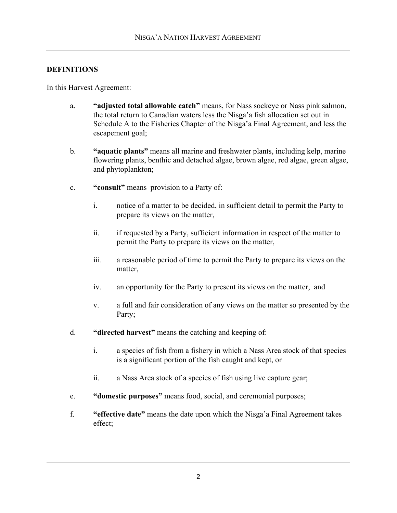## **DEFINITIONS**

In this Harvest Agreement:

- a. **"adjusted total allowable catch"** means, for Nass sockeye or Nass pink salmon, the total return to Canadian waters less the Nisga'a fish allocation set out in Schedule A to the Fisheries Chapter of the Nisga'a Final Agreement, and less the escapement goal;
- b. **"aquatic plants"** means all marine and freshwater plants, including kelp, marine flowering plants, benthic and detached algae, brown algae, red algae, green algae, and phytoplankton;
- c. **"consult"** means provision to a Party of:
	- i. notice of a matter to be decided, in sufficient detail to permit the Party to prepare its views on the matter,
	- ii. if requested by a Party, sufficient information in respect of the matter to permit the Party to prepare its views on the matter,
	- iii. a reasonable period of time to permit the Party to prepare its views on the matter,
	- iv. an opportunity for the Party to present its views on the matter, and
	- v. a full and fair consideration of any views on the matter so presented by the Party;
- d. **"directed harvest"** means the catching and keeping of:
	- i. a species of fish from a fishery in which a Nass Area stock of that species is a significant portion of the fish caught and kept, or
	- ii. a Nass Area stock of a species of fish using live capture gear;
- e. **"domestic purposes"** means food, social, and ceremonial purposes;
- f. **"effective date"** means the date upon which the Nisga'a Final Agreement takes effect;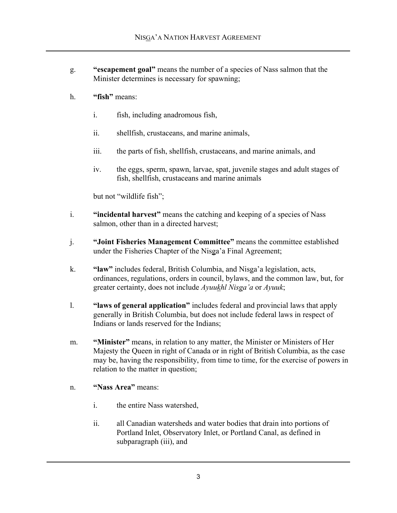- g. **"escapement goal"** means the number of a species of Nass salmon that the Minister determines is necessary for spawning;
- h. **"fish"** means:
	- i. fish, including anadromous fish,
	- ii. shellfish, crustaceans, and marine animals,
	- iii. the parts of fish, shellfish, crustaceans, and marine animals, and
	- iv. the eggs, sperm, spawn, larvae, spat, juvenile stages and adult stages of fish, shellfish, crustaceans and marine animals

but not "wildlife fish";

- i. **"incidental harvest"** means the catching and keeping of a species of Nass salmon, other than in a directed harvest;
- j. **"Joint Fisheries Management Committee"** means the committee established under the Fisheries Chapter of the Nisga'a Final Agreement;
- k. **"law"** includes federal, British Columbia, and Nisga'a legislation, acts, ordinances, regulations, orders in council, bylaws, and the common law, but, for greater certainty, does not include *Ayuukhl Nisga'a* or *Ayuuk*;
- l. **"laws of general application"** includes federal and provincial laws that apply generally in British Columbia, but does not include federal laws in respect of Indians or lands reserved for the Indians;
- m. **"Minister"** means, in relation to any matter, the Minister or Ministers of Her Majesty the Queen in right of Canada or in right of British Columbia, as the case may be, having the responsibility, from time to time, for the exercise of powers in relation to the matter in question;
- n. **"Nass Area"** means:
	- i. the entire Nass watershed,
	- ii. all Canadian watersheds and water bodies that drain into portions of Portland Inlet, Observatory Inlet, or Portland Canal, as defined in subparagraph (iii), and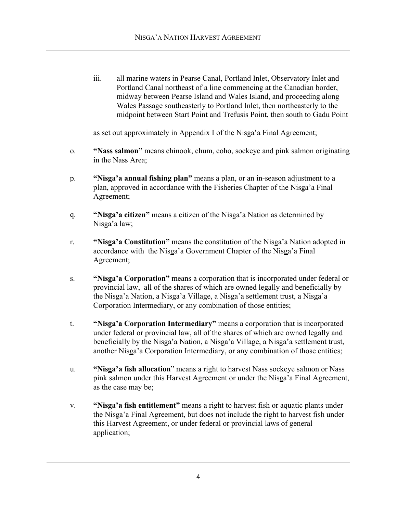iii. all marine waters in Pearse Canal, Portland Inlet, Observatory Inlet and Portland Canal northeast of a line commencing at the Canadian border, midway between Pearse Island and Wales Island, and proceeding along Wales Passage southeasterly to Portland Inlet, then northeasterly to the midpoint between Start Point and Trefusis Point, then south to Gadu Point

as set out approximately in Appendix I of the Nisga'a Final Agreement;

- o. **"Nass salmon"** means chinook, chum, coho, sockeye and pink salmon originating in the Nass Area;
- p. **"Nisga'a annual fishing plan"** means a plan, or an in-season adjustment to a plan, approved in accordance with the Fisheries Chapter of the Nisga'a Final Agreement;
- q. **"Nisga'a citizen"** means a citizen of the Nisga'a Nation as determined by Nisga'a law;
- r. **"Nisga'a Constitution"** means the constitution of the Nisga'a Nation adopted in accordance with the Nisga'a Government Chapter of the Nisga'a Final Agreement;
- s. **"Nisga'a Corporation"** means a corporation that is incorporated under federal or provincial law, all of the shares of which are owned legally and beneficially by the Nisga'a Nation, a Nisga'a Village, a Nisga'a settlement trust, a Nisga'a Corporation Intermediary, or any combination of those entities;
- t. **"Nisga'a Corporation Intermediary"** means a corporation that is incorporated under federal or provincial law, all of the shares of which are owned legally and beneficially by the Nisga'a Nation, a Nisga'a Village, a Nisga'a settlement trust, another Nisga'a Corporation Intermediary, or any combination of those entities;
- u. **"Nisga'a fish allocation**" means a right to harvest Nass sockeye salmon or Nass pink salmon under this Harvest Agreement or under the Nisga'a Final Agreement, as the case may be;
- v. **"Nisga'a fish entitlement"** means a right to harvest fish or aquatic plants under the Nisga'a Final Agreement, but does not include the right to harvest fish under this Harvest Agreement, or under federal or provincial laws of general application;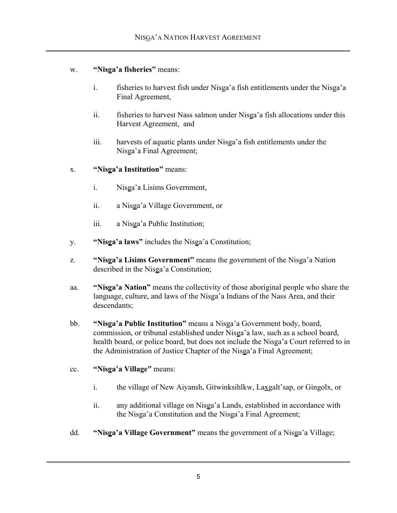## w. **"Nisga'a fisheries"** means:

- i. fisheries to harvest fish under Nisga'a fish entitlements under the Nisga'a Final Agreement,
- ii. fisheries to harvest Nass salmon under Nisga'a fish allocations under this Harvest Agreement, and
- iii. harvests of aquatic plants under Nisga'a fish entitlements under the Nisga'a Final Agreement;
- x. **"Nisga'a Institution"** means:
	- i. Nisga'a Lisims Government,
	- ii. a Nisga'a Village Government, or
	- iii. a Nisga'a Public Institution;
- y. **"Nisga'a laws"** includes the Nisga'a Constitution;
- z. **"Nisga'a Lisims Government"** means the government of the Nisga'a Nation described in the Nisga'a Constitution;
- aa. **"Nisga'a Nation"** means the collectivity of those aboriginal people who share the language, culture, and laws of the Nisga'a Indians of the Nass Area, and their descendants;
- bb. **"Nisga'a Public Institution"** means a Nisga'a Government body, board, commission, or tribunal established under Nisga'a law, such as a school board, health board, or police board, but does not include the Nisga'a Court referred to in the Administration of Justice Chapter of the Nisga'a Final Agreement;

## cc. **"Nisga'a Village"** means:

- i. the village of New Aiyansh, Gitwinksihlkw, Laxgalt'sap, or Gingolx, or
- ii. any additional village on Nisga'a Lands, established in accordance with the Nisga'a Constitution and the Nisga'a Final Agreement;
- dd. **"Nisga'a Village Government"** means the government of a Nisga'a Village;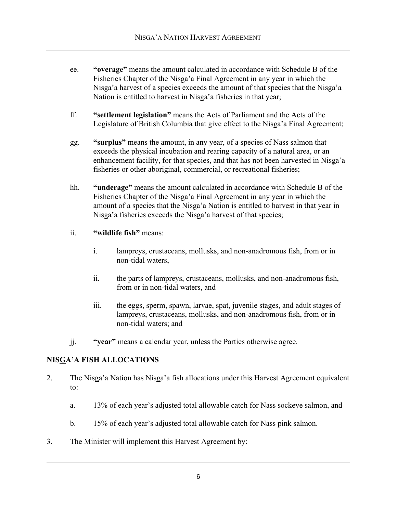- ee. **"overage"** means the amount calculated in accordance with Schedule B of the Fisheries Chapter of the Nisga'a Final Agreement in any year in which the Nisga'a harvest of a species exceeds the amount of that species that the Nisga'a Nation is entitled to harvest in Nisga'a fisheries in that year;
- ff. **"settlement legislation"** means the Acts of Parliament and the Acts of the Legislature of British Columbia that give effect to the Nisga'a Final Agreement;
- gg. **"surplus"** means the amount, in any year, of a species of Nass salmon that exceeds the physical incubation and rearing capacity of a natural area, or an enhancement facility, for that species, and that has not been harvested in Nisga'a fisheries or other aboriginal, commercial, or recreational fisheries;
- hh. **"underage"** means the amount calculated in accordance with Schedule B of the Fisheries Chapter of the Nisga'a Final Agreement in any year in which the amount of a species that the Nisga'a Nation is entitled to harvest in that year in Nisga'a fisheries exceeds the Nisga'a harvest of that species;
- ii. **"wildlife fish"** means:
	- i. lampreys, crustaceans, mollusks, and non-anadromous fish, from or in non-tidal waters,
	- ii. the parts of lampreys, crustaceans, mollusks, and non-anadromous fish, from or in non-tidal waters, and
	- iii. the eggs, sperm, spawn, larvae, spat, juvenile stages, and adult stages of lampreys, crustaceans, mollusks, and non-anadromous fish, from or in non-tidal waters; and
- jj. **"year"** means a calendar year, unless the Parties otherwise agree.

## **NISGA'A FISH ALLOCATIONS**

- 2. The Nisga'a Nation has Nisga'a fish allocations under this Harvest Agreement equivalent to:
	- a. 13% of each year's adjusted total allowable catch for Nass sockeye salmon, and
	- b. 15% of each year's adjusted total allowable catch for Nass pink salmon.
- 3. The Minister will implement this Harvest Agreement by: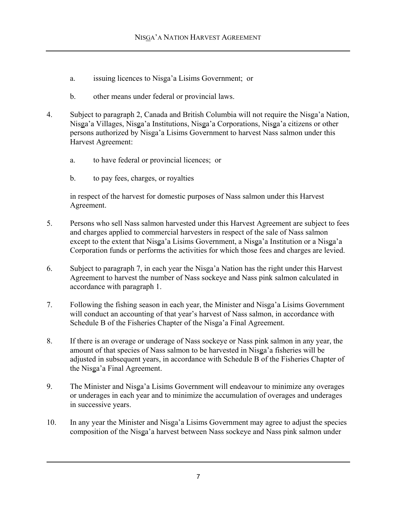- a. issuing licences to Nisga'a Lisims Government; or
- b. other means under federal or provincial laws.
- 4. Subject to paragraph 2, Canada and British Columbia will not require the Nisga'a Nation, Nisga'a Villages, Nisga'a Institutions, Nisga'a Corporations, Nisga'a citizens or other persons authorized by Nisga'a Lisims Government to harvest Nass salmon under this Harvest Agreement:
	- a. to have federal or provincial licences; or
	- b. to pay fees, charges, or royalties

in respect of the harvest for domestic purposes of Nass salmon under this Harvest Agreement.

- 5. Persons who sell Nass salmon harvested under this Harvest Agreement are subject to fees and charges applied to commercial harvesters in respect of the sale of Nass salmon except to the extent that Nisga'a Lisims Government, a Nisga'a Institution or a Nisga'a Corporation funds or performs the activities for which those fees and charges are levied.
- 6. Subject to paragraph 7, in each year the Nisga'a Nation has the right under this Harvest Agreement to harvest the number of Nass sockeye and Nass pink salmon calculated in accordance with paragraph 1.
- 7. Following the fishing season in each year, the Minister and Nisga'a Lisims Government will conduct an accounting of that year's harvest of Nass salmon, in accordance with Schedule B of the Fisheries Chapter of the Nisga'a Final Agreement.
- 8. If there is an overage or underage of Nass sockeye or Nass pink salmon in any year, the amount of that species of Nass salmon to be harvested in Nisga'a fisheries will be adjusted in subsequent years, in accordance with Schedule B of the Fisheries Chapter of the Nisga'a Final Agreement.
- 9. The Minister and Nisga'a Lisims Government will endeavour to minimize any overages or underages in each year and to minimize the accumulation of overages and underages in successive years.
- 10. In any year the Minister and Nisga'a Lisims Government may agree to adjust the species composition of the Nisga'a harvest between Nass sockeye and Nass pink salmon under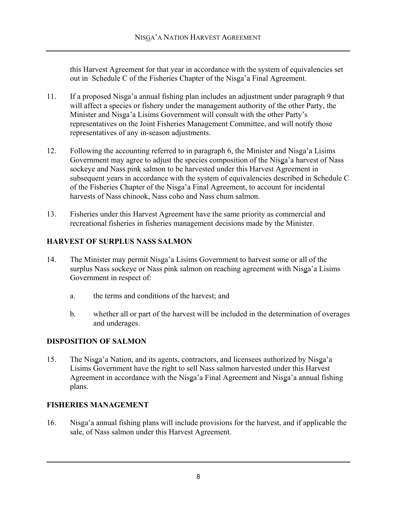this Harvest Agreement for that year in accordance with the system of equivalencies set out in Schedule C of the Fisheries Chapter of the Nisga'a Final Agreement.

- 11. If a proposed Nisga'a annual fishing plan includes an adjustment under paragraph 9 that will affect a species or fishery under the management authority of the other Party, the Minister and Nisga'a Lisims Government will consult with the other Party's representatives on the Joint Fisheries Management Committee, and will notify those representatives of any in-season adjustments.
- 12. Following the accounting referred to in paragraph 6, the Minister and Nisga'a Lisims Government may agree to adjust the species composition of the Nisga'a harvest of Nass sockeye and Nass pink salmon to be harvested under this Harvest Agreement in subsequent years in accordance with the system of equivalencies described in Schedule C of the Fisheries Chapter of the Nisga'a Final Agreement, to account for incidental harvests of Nass chinook, Nass coho and Nass chum salmon.
- 13. Fisheries under this Harvest Agreement have the same priority as commercial and recreational fisheries in fisheries management decisions made by the Minister.

# **HARVEST OF SURPLUS NASS SALMON**

- 14. The Minister may permit Nisga'a Lisims Government to harvest some or all of the surplus Nass sockeye or Nass pink salmon on reaching agreement with Nisga'a Lisims Government in respect of:
	- a. the terms and conditions of the harvest; and
	- b. whether all or part of the harvest will be included in the determination of overages and underages.

# **DISPOSITION OF SALMON**

15. The Nisga'a Nation, and its agents, contractors, and licensees authorized by Nisga'a Lisims Government have the right to sell Nass salmon harvested under this Harvest Agreement in accordance with the Nisga'a Final Agreement and Nisga'a annual fishing plans.

# **FISHERIES MANAGEMENT**

16. Nisga'a annual fishing plans will include provisions for the harvest, and if applicable the sale, of Nass salmon under this Harvest Agreement.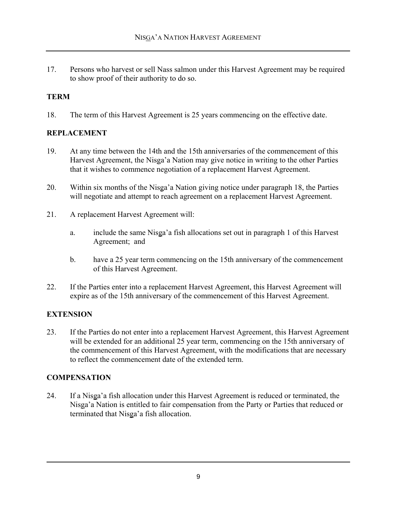17. Persons who harvest or sell Nass salmon under this Harvest Agreement may be required to show proof of their authority to do so.

# **TERM**

18. The term of this Harvest Agreement is 25 years commencing on the effective date.

## **REPLACEMENT**

- 19. At any time between the 14th and the 15th anniversaries of the commencement of this Harvest Agreement, the Nisga'a Nation may give notice in writing to the other Parties that it wishes to commence negotiation of a replacement Harvest Agreement.
- 20. Within six months of the Nisga'a Nation giving notice under paragraph 18, the Parties will negotiate and attempt to reach agreement on a replacement Harvest Agreement.
- 21. A replacement Harvest Agreement will:
	- a. include the same Nisga'a fish allocations set out in paragraph 1 of this Harvest Agreement; and
	- b. have a 25 year term commencing on the 15th anniversary of the commencement of this Harvest Agreement.
- 22. If the Parties enter into a replacement Harvest Agreement, this Harvest Agreement will expire as of the 15th anniversary of the commencement of this Harvest Agreement.

# **EXTENSION**

23. If the Parties do not enter into a replacement Harvest Agreement, this Harvest Agreement will be extended for an additional 25 year term, commencing on the 15th anniversary of the commencement of this Harvest Agreement, with the modifications that are necessary to reflect the commencement date of the extended term.

## **COMPENSATION**

24. If a Nisga'a fish allocation under this Harvest Agreement is reduced or terminated, the Nisga'a Nation is entitled to fair compensation from the Party or Parties that reduced or terminated that Nisga'a fish allocation.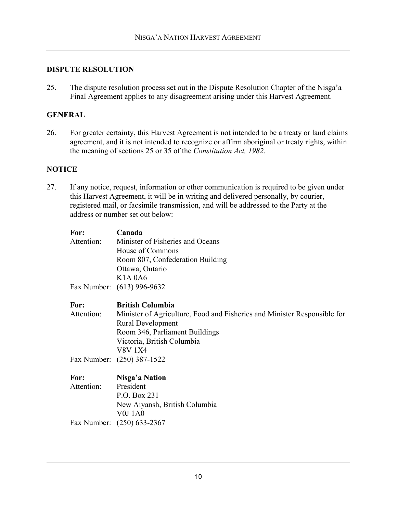#### **DISPUTE RESOLUTION**

25. The dispute resolution process set out in the Dispute Resolution Chapter of the Nisga'a Final Agreement applies to any disagreement arising under this Harvest Agreement.

#### **GENERAL**

26. For greater certainty, this Harvest Agreement is not intended to be a treaty or land claims agreement, and it is not intended to recognize or affirm aboriginal or treaty rights, within the meaning of sections 25 or 35 of the *Constitution Act, 1982*.

#### **NOTICE**

27. If any notice, request, information or other communication is required to be given under this Harvest Agreement, it will be in writing and delivered personally, by courier, registered mail, or facsimile transmission, and will be addressed to the Party at the address or number set out below:

| For:       | Canada                                                                   |
|------------|--------------------------------------------------------------------------|
| Attention: | Minister of Fisheries and Oceans                                         |
|            | House of Commons                                                         |
|            | Room 807, Confederation Building                                         |
|            | Ottawa, Ontario                                                          |
|            | <b>K1A 0A6</b>                                                           |
|            | Fax Number: (613) 996-9632                                               |
| For:       | <b>British Columbia</b>                                                  |
| Attention: | Minister of Agriculture, Food and Fisheries and Minister Responsible for |
|            | <b>Rural Development</b>                                                 |
|            | Room 346, Parliament Buildings                                           |
|            | Victoria, British Columbia                                               |
|            | V8V 1X4                                                                  |
|            | Fax Number: (250) 387-1522                                               |
| For:       | Nisga'a Nation                                                           |
| Attention: | President                                                                |
|            | P.O. Box 231                                                             |
|            | New Aiyansh, British Columbia                                            |
|            | <b>V0J1A0</b>                                                            |
|            | Fax Number: (250) 633-2367                                               |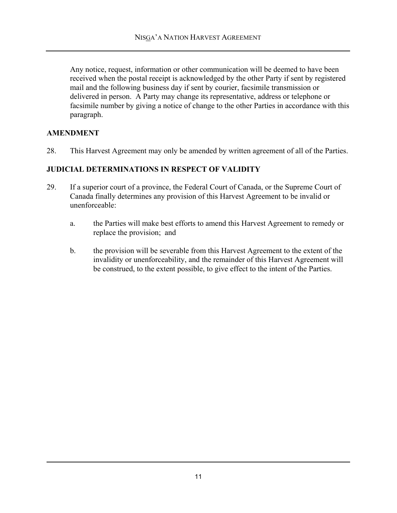Any notice, request, information or other communication will be deemed to have been received when the postal receipt is acknowledged by the other Party if sent by registered mail and the following business day if sent by courier, facsimile transmission or delivered in person. A Party may change its representative, address or telephone or facsimile number by giving a notice of change to the other Parties in accordance with this paragraph.

# **AMENDMENT**

28. This Harvest Agreement may only be amended by written agreement of all of the Parties.

## **JUDICIAL DETERMINATIONS IN RESPECT OF VALIDITY**

- 29. If a superior court of a province, the Federal Court of Canada, or the Supreme Court of Canada finally determines any provision of this Harvest Agreement to be invalid or unenforceable:
	- a. the Parties will make best efforts to amend this Harvest Agreement to remedy or replace the provision; and
	- b. the provision will be severable from this Harvest Agreement to the extent of the invalidity or unenforceability, and the remainder of this Harvest Agreement will be construed, to the extent possible, to give effect to the intent of the Parties.